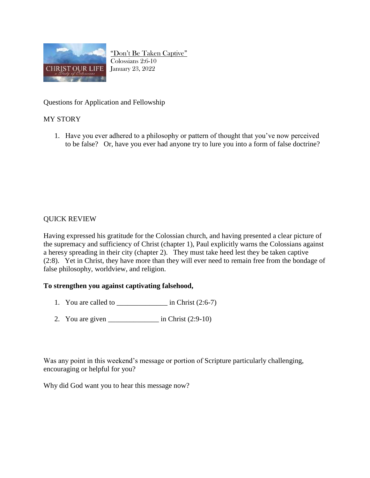

"Don't Be Taken Captive" Colossians 2:6-10 January 23, 2022

Questions for Application and Fellowship

## MY STORY

1. Have you ever adhered to a philosophy or pattern of thought that you've now perceived to be false? Or, have you ever had anyone try to lure you into a form of false doctrine?

## QUICK REVIEW

Having expressed his gratitude for the Colossian church, and having presented a clear picture of the supremacy and sufficiency of Christ (chapter 1), Paul explicitly warns the Colossians against a heresy spreading in their city (chapter 2). They must take heed lest they be taken captive (2:8). Yet in Christ, they have more than they will ever need to remain free from the bondage of false philosophy, worldview, and religion.

## **To strengthen you against captivating falsehood,**

- 1. You are called to  $\qquad \qquad$  in Christ (2:6-7)
- 2. You are given  $\frac{\ }{\ }$  in Christ (2:9-10)

Was any point in this weekend's message or portion of Scripture particularly challenging, encouraging or helpful for you?

Why did God want you to hear this message now?